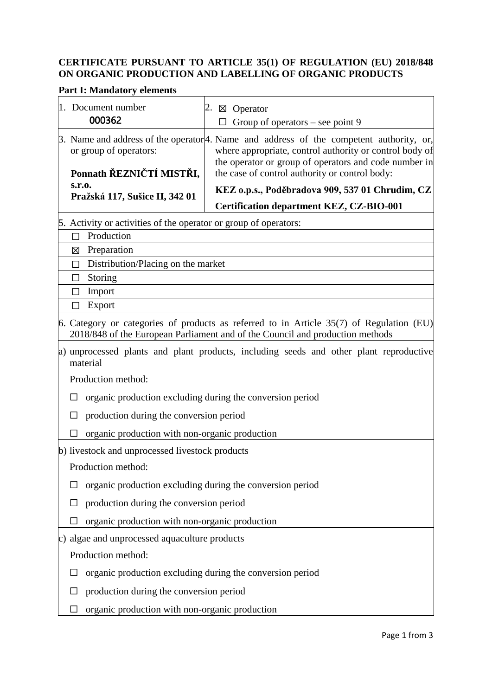## **CERTIFICATE PURSUANT TO ARTICLE 35(1) OF REGULATION (EU) 2018/848 ON ORGANIC PRODUCTION AND LABELLING OF ORGANIC PRODUCTS**

# **Part I: Mandatory elements**

| 1. Document number<br>000362                                                                       | $\boxtimes$ Operator<br>Group of operators – see point 9                                                                                                                  |  |  |  |
|----------------------------------------------------------------------------------------------------|---------------------------------------------------------------------------------------------------------------------------------------------------------------------------|--|--|--|
| or group of operators:                                                                             | 3. Name and address of the operator <sup>[4]</sup> . Name and address of the competent authority, or,<br>where appropriate, control authority or control body of          |  |  |  |
| Ponnath ŘEZNIČTÍ MISTŘI,                                                                           | the operator or group of operators and code number in<br>the case of control authority or control body:                                                                   |  |  |  |
| s.r.o.<br>Pražská 117, Sušice II, 342 01                                                           | KEZ o.p.s., Poděbradova 909, 537 01 Chrudim, CZ                                                                                                                           |  |  |  |
|                                                                                                    | <b>Certification department KEZ, CZ-BIO-001</b>                                                                                                                           |  |  |  |
| 5. Activity or activities of the operator or group of operators:                                   |                                                                                                                                                                           |  |  |  |
| Production<br>П                                                                                    |                                                                                                                                                                           |  |  |  |
| Preparation<br>図                                                                                   |                                                                                                                                                                           |  |  |  |
| Distribution/Placing on the market<br>П                                                            |                                                                                                                                                                           |  |  |  |
| Storing<br>П                                                                                       |                                                                                                                                                                           |  |  |  |
| Import<br>ΙI                                                                                       |                                                                                                                                                                           |  |  |  |
| Export                                                                                             |                                                                                                                                                                           |  |  |  |
|                                                                                                    | 6. Category or categories of products as referred to in Article 35(7) of Regulation (EU)<br>2018/848 of the European Parliament and of the Council and production methods |  |  |  |
| a) unprocessed plants and plant products, including seeds and other plant reproductive<br>material |                                                                                                                                                                           |  |  |  |
| Production method:                                                                                 |                                                                                                                                                                           |  |  |  |
| organic production excluding during the conversion period                                          |                                                                                                                                                                           |  |  |  |
|                                                                                                    | production during the conversion period                                                                                                                                   |  |  |  |
| organic production with non-organic production                                                     |                                                                                                                                                                           |  |  |  |
| b) livestock and unprocessed livestock products                                                    |                                                                                                                                                                           |  |  |  |
| Production method:                                                                                 |                                                                                                                                                                           |  |  |  |
| organic production excluding during the conversion period                                          |                                                                                                                                                                           |  |  |  |
| production during the conversion period                                                            |                                                                                                                                                                           |  |  |  |
| organic production with non-organic production                                                     |                                                                                                                                                                           |  |  |  |
| c) algae and unprocessed aquaculture products                                                      |                                                                                                                                                                           |  |  |  |
| Production method:                                                                                 |                                                                                                                                                                           |  |  |  |
| organic production excluding during the conversion period                                          |                                                                                                                                                                           |  |  |  |
| production during the conversion period                                                            |                                                                                                                                                                           |  |  |  |
| organic production with non-organic production                                                     |                                                                                                                                                                           |  |  |  |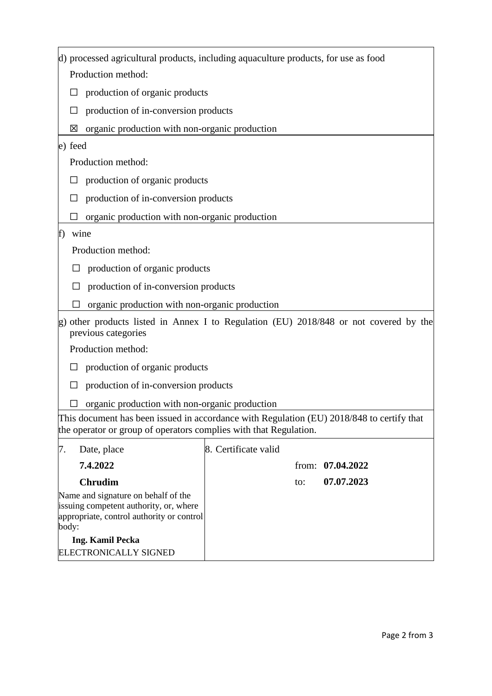|                                                                                                                                                                | d) processed agricultural products, including aquaculture products, for use as food                       |                      |     |                    |  |  |
|----------------------------------------------------------------------------------------------------------------------------------------------------------------|-----------------------------------------------------------------------------------------------------------|----------------------|-----|--------------------|--|--|
|                                                                                                                                                                | Production method:                                                                                        |                      |     |                    |  |  |
| ⊔                                                                                                                                                              | production of organic products                                                                            |                      |     |                    |  |  |
|                                                                                                                                                                | production of in-conversion products                                                                      |                      |     |                    |  |  |
| 区                                                                                                                                                              | organic production with non-organic production                                                            |                      |     |                    |  |  |
| e) feed                                                                                                                                                        |                                                                                                           |                      |     |                    |  |  |
|                                                                                                                                                                | Production method:                                                                                        |                      |     |                    |  |  |
|                                                                                                                                                                | production of organic products                                                                            |                      |     |                    |  |  |
|                                                                                                                                                                | production of in-conversion products                                                                      |                      |     |                    |  |  |
|                                                                                                                                                                | organic production with non-organic production                                                            |                      |     |                    |  |  |
| f)                                                                                                                                                             | wine                                                                                                      |                      |     |                    |  |  |
|                                                                                                                                                                | Production method:                                                                                        |                      |     |                    |  |  |
|                                                                                                                                                                | production of organic products                                                                            |                      |     |                    |  |  |
|                                                                                                                                                                | production of in-conversion products                                                                      |                      |     |                    |  |  |
|                                                                                                                                                                | organic production with non-organic production                                                            |                      |     |                    |  |  |
| g)                                                                                                                                                             | other products listed in Annex I to Regulation (EU) 2018/848 or not covered by the<br>previous categories |                      |     |                    |  |  |
|                                                                                                                                                                | Production method:                                                                                        |                      |     |                    |  |  |
| ⊔                                                                                                                                                              | production of organic products                                                                            |                      |     |                    |  |  |
|                                                                                                                                                                | production of in-conversion products                                                                      |                      |     |                    |  |  |
|                                                                                                                                                                | organic production with non-organic production                                                            |                      |     |                    |  |  |
| This document has been issued in accordance with Regulation (EU) 2018/848 to certify that<br>the operator or group of operators complies with that Regulation. |                                                                                                           |                      |     |                    |  |  |
| 7.                                                                                                                                                             | Date, place                                                                                               | 8. Certificate valid |     |                    |  |  |
|                                                                                                                                                                | 7.4.2022                                                                                                  |                      |     | from: $07.04.2022$ |  |  |
|                                                                                                                                                                | <b>Chrudim</b>                                                                                            |                      | to: | 07.07.2023         |  |  |
| Name and signature on behalf of the<br>issuing competent authority, or, where<br>appropriate, control authority or control<br>body:                            |                                                                                                           |                      |     |                    |  |  |
| <b>Ing. Kamil Pecka</b>                                                                                                                                        |                                                                                                           |                      |     |                    |  |  |
|                                                                                                                                                                | ELECTRONICALLY SIGNED                                                                                     |                      |     |                    |  |  |